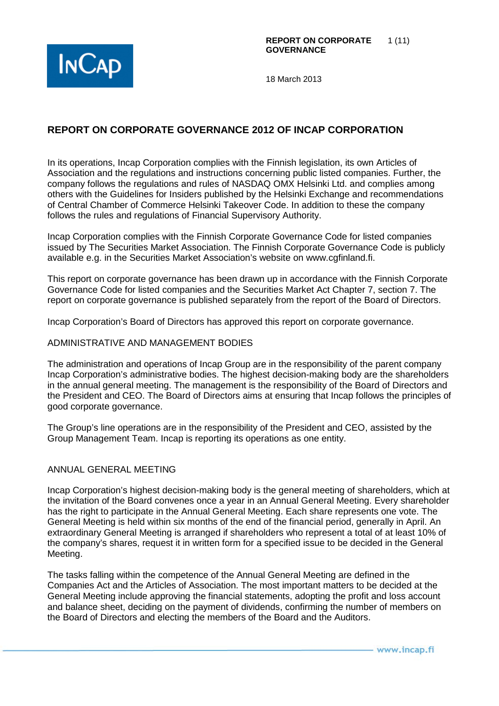

# **REPORT ON CORPORATE GOVERNANCE 2012 OF INCAP CORPORATION**

In its operations, Incap Corporation complies with the Finnish legislation, its own Articles of Association and the regulations and instructions concerning public listed companies. Further, the company follows the regulations and rules of NASDAQ OMX Helsinki Ltd. and complies among others with the Guidelines for Insiders published by the Helsinki Exchange and recommendations of Central Chamber of Commerce Helsinki Takeover Code. In addition to these the company follows the rules and regulations of Financial Supervisory Authority.

Incap Corporation complies with the Finnish Corporate Governance Code for listed companies issued by The Securities Market Association. The Finnish Corporate Governance Code is publicly available e.g. in the Securities Market Association's website on www.cgfinland.fi.

This report on corporate governance has been drawn up in accordance with the Finnish Corporate Governance Code for listed companies and the Securities Market Act Chapter 7, section 7. The report on corporate governance is published separately from the report of the Board of Directors.

Incap Corporation's Board of Directors has approved this report on corporate governance.

#### ADMINISTRATIVE AND MANAGEMENT BODIES

The administration and operations of Incap Group are in the responsibility of the parent company Incap Corporation's administrative bodies. The highest decision-making body are the shareholders in the annual general meeting. The management is the responsibility of the Board of Directors and the President and CEO. The Board of Directors aims at ensuring that Incap follows the principles of good corporate governance.

The Group's line operations are in the responsibility of the President and CEO, assisted by the Group Management Team. Incap is reporting its operations as one entity.

#### ANNUAL GENERAL MEETING

Incap Corporation's highest decision-making body is the general meeting of shareholders, which at the invitation of the Board convenes once a year in an Annual General Meeting. Every shareholder has the right to participate in the Annual General Meeting. Each share represents one vote. The General Meeting is held within six months of the end of the financial period, generally in April. An extraordinary General Meeting is arranged if shareholders who represent a total of at least 10% of the company's shares, request it in written form for a specified issue to be decided in the General Meeting.

The tasks falling within the competence of the Annual General Meeting are defined in the Companies Act and the Articles of Association. The most important matters to be decided at the General Meeting include approving the financial statements, adopting the profit and loss account and balance sheet, deciding on the payment of dividends, confirming the number of members on the Board of Directors and electing the members of the Board and the Auditors.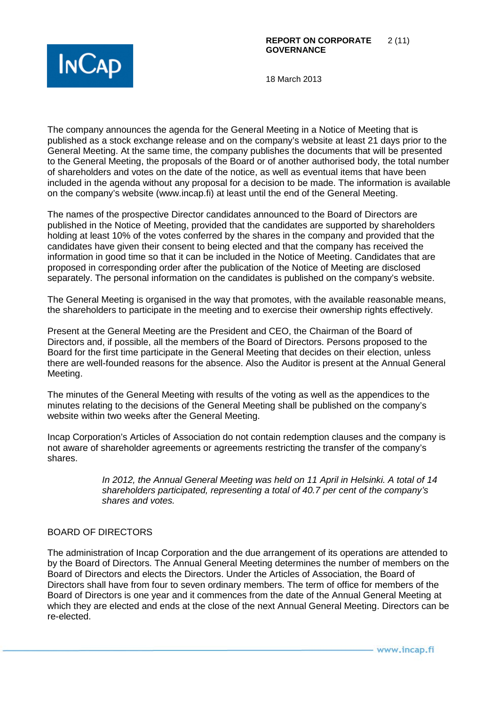

The company announces the agenda for the General Meeting in a Notice of Meeting that is published as a stock exchange release and on the company's website at least 21 days prior to the General Meeting. At the same time, the company publishes the documents that will be presented to the General Meeting, the proposals of the Board or of another authorised body, the total number of shareholders and votes on the date of the notice, as well as eventual items that have been included in the agenda without any proposal for a decision to be made. The information is available on the company's website (www.incap.fi) at least until the end of the General Meeting.

The names of the prospective Director candidates announced to the Board of Directors are published in the Notice of Meeting, provided that the candidates are supported by shareholders holding at least 10% of the votes conferred by the shares in the company and provided that the candidates have given their consent to being elected and that the company has received the information in good time so that it can be included in the Notice of Meeting. Candidates that are proposed in corresponding order after the publication of the Notice of Meeting are disclosed separately. The personal information on the candidates is published on the company's website.

The General Meeting is organised in the way that promotes, with the available reasonable means, the shareholders to participate in the meeting and to exercise their ownership rights effectively.

Present at the General Meeting are the President and CEO, the Chairman of the Board of Directors and, if possible, all the members of the Board of Directors. Persons proposed to the Board for the first time participate in the General Meeting that decides on their election, unless there are well-founded reasons for the absence. Also the Auditor is present at the Annual General Meeting.

The minutes of the General Meeting with results of the voting as well as the appendices to the minutes relating to the decisions of the General Meeting shall be published on the company's website within two weeks after the General Meeting.

Incap Corporation's Articles of Association do not contain redemption clauses and the company is not aware of shareholder agreements or agreements restricting the transfer of the company's shares.

> *In 2012, the Annual General Meeting was held on 11 April in Helsinki. A total of 14 shareholders participated, representing a total of 40.7 per cent of the company's shares and votes.*

## BOARD OF DIRECTORS

The administration of Incap Corporation and the due arrangement of its operations are attended to by the Board of Directors. The Annual General Meeting determines the number of members on the Board of Directors and elects the Directors. Under the Articles of Association, the Board of Directors shall have from four to seven ordinary members. The term of office for members of the Board of Directors is one year and it commences from the date of the Annual General Meeting at which they are elected and ends at the close of the next Annual General Meeting. Directors can be re-elected.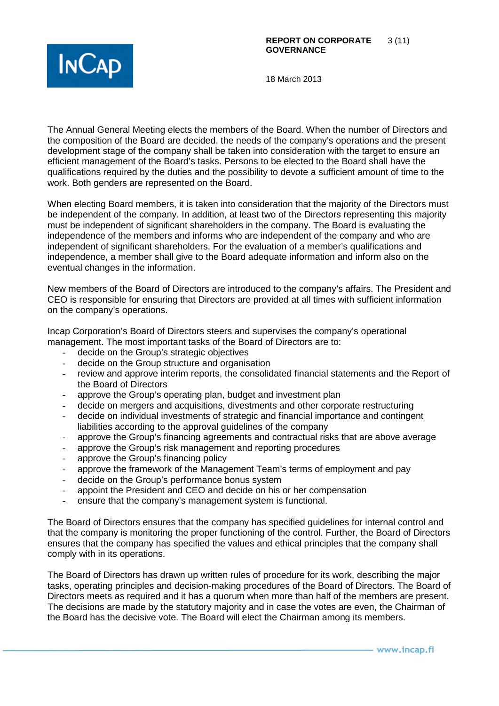

The Annual General Meeting elects the members of the Board. When the number of Directors and the composition of the Board are decided, the needs of the company's operations and the present development stage of the company shall be taken into consideration with the target to ensure an efficient management of the Board's tasks. Persons to be elected to the Board shall have the qualifications required by the duties and the possibility to devote a sufficient amount of time to the work. Both genders are represented on the Board.

When electing Board members, it is taken into consideration that the majority of the Directors must be independent of the company. In addition, at least two of the Directors representing this majority must be independent of significant shareholders in the company. The Board is evaluating the independence of the members and informs who are independent of the company and who are independent of significant shareholders. For the evaluation of a member's qualifications and independence, a member shall give to the Board adequate information and inform also on the eventual changes in the information.

New members of the Board of Directors are introduced to the company's affairs. The President and CEO is responsible for ensuring that Directors are provided at all times with sufficient information on the company's operations.

Incap Corporation's Board of Directors steers and supervises the company's operational management. The most important tasks of the Board of Directors are to:

- decide on the Group's strategic objectives
- decide on the Group structure and organisation
- review and approve interim reports, the consolidated financial statements and the Report of the Board of Directors
- approve the Group's operating plan, budget and investment plan
- decide on mergers and acquisitions, divestments and other corporate restructuring
- decide on individual investments of strategic and financial importance and contingent liabilities according to the approval guidelines of the company
- approve the Group's financing agreements and contractual risks that are above average
- approve the Group's risk management and reporting procedures
- approve the Group's financing policy
- approve the framework of the Management Team's terms of employment and pay
- decide on the Group's performance bonus system
- appoint the President and CEO and decide on his or her compensation
- ensure that the company's management system is functional.

The Board of Directors ensures that the company has specified guidelines for internal control and that the company is monitoring the proper functioning of the control. Further, the Board of Directors ensures that the company has specified the values and ethical principles that the company shall comply with in its operations.

The Board of Directors has drawn up written rules of procedure for its work, describing the major tasks, operating principles and decision-making procedures of the Board of Directors. The Board of Directors meets as required and it has a quorum when more than half of the members are present. The decisions are made by the statutory majority and in case the votes are even, the Chairman of the Board has the decisive vote. The Board will elect the Chairman among its members.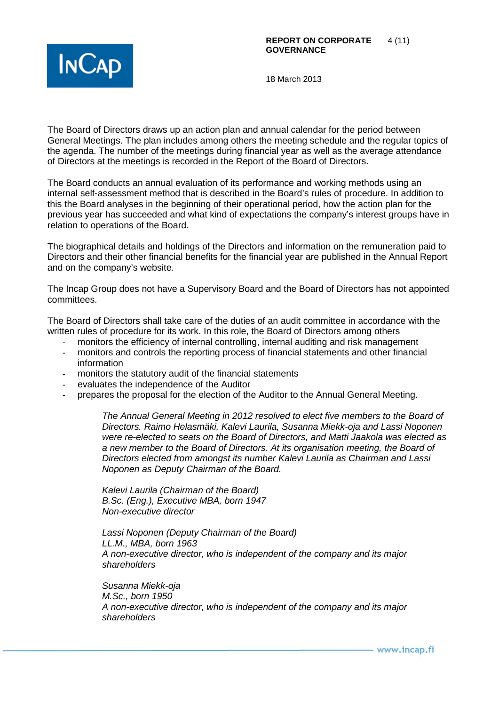

The Board of Directors draws up an action plan and annual calendar for the period between General Meetings. The plan includes among others the meeting schedule and the regular topics of the agenda. The number of the meetings during financial year as well as the average attendance of Directors at the meetings is recorded in the Report of the Board of Directors.

The Board conducts an annual evaluation of its performance and working methods using an internal self-assessment method that is described in the Board's rules of procedure. In addition to this the Board analyses in the beginning of their operational period, how the action plan for the previous year has succeeded and what kind of expectations the company's interest groups have in relation to operations of the Board.

The biographical details and holdings of the Directors and information on the remuneration paid to Directors and their other financial benefits for the financial year are published in the Annual Report and on the company's website.

The Incap Group does not have a Supervisory Board and the Board of Directors has not appointed committees.

The Board of Directors shall take care of the duties of an audit committee in accordance with the written rules of procedure for its work. In this role, the Board of Directors among others

- monitors the efficiency of internal controlling, internal auditing and risk management
- monitors and controls the reporting process of financial statements and other financial information
- monitors the statutory audit of the financial statements
- evaluates the independence of the Auditor
- prepares the proposal for the election of the Auditor to the Annual General Meeting.

*The Annual General Meeting in 2012 resolved to elect five members to the Board of Directors. Raimo Helasmäki, Kalevi Laurila, Susanna Miekk-oja and Lassi Noponen were re-elected to seats on the Board of Directors, and Matti Jaakola was elected as a new member to the Board of Directors. At its organisation meeting, the Board of Directors elected from amongst its number Kalevi Laurila as Chairman and Lassi Noponen as Deputy Chairman of the Board.* 

*Kalevi Laurila (Chairman of the Board) B.Sc. (Eng.), Executive MBA, born 1947 Non-executive director*

*Lassi Noponen (Deputy Chairman of the Board) LL.M., MBA, born 1963 A non-executive director, who is independent of the company and its major shareholders*

*Susanna Miekk-oja M.Sc., born 1950 A non-executive director, who is independent of the company and its major shareholders*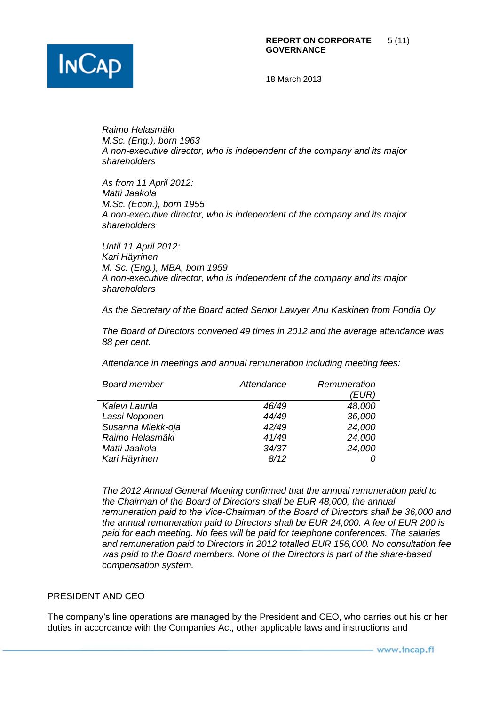

*Raimo Helasmäki M.Sc. (Eng.), born 1963 A non-executive director, who is independent of the company and its major shareholders*

*As from 11 April 2012: Matti Jaakola M.Sc. (Econ.), born 1955 A non-executive director, who is independent of the company and its major shareholders*

*Until 11 April 2012: Kari Häyrinen M. Sc. (Eng.), MBA, born 1959 A non-executive director, who is independent of the company and its major shareholders*

*As the Secretary of the Board acted Senior Lawyer Anu Kaskinen from Fondia Oy.* 

*The Board of Directors convened 49 times in 2012 and the average attendance was 88 per cent.*

*Attendance in meetings and annual remuneration including meeting fees:*

| <b>Board member</b> | Attendance | Remuneration<br>(EUR) |
|---------------------|------------|-----------------------|
| Kalevi Laurila      | 46/49      | 48,000                |
| Lassi Noponen       | 44/49      | 36,000                |
| Susanna Miekk-oja   | 42/49      | 24,000                |
| Raimo Helasmäki     | 41/49      | 24,000                |
| Matti Jaakola       | 34/37      | 24,000                |
| Kari Häyrinen       | 8/12       |                       |

*The 2012 Annual General Meeting confirmed that the annual remuneration paid to the Chairman of the Board of Directors shall be EUR 48,000, the annual remuneration paid to the Vice-Chairman of the Board of Directors shall be 36,000 and the annual remuneration paid to Directors shall be EUR 24,000. A fee of EUR 200 is paid for each meeting. No fees will be paid for telephone conferences. The salaries and remuneration paid to Directors in 2012 totalled EUR 156,000. No consultation fee was paid to the Board members. None of the Directors is part of the share-based compensation system.* 

## PRESIDENT AND CEO

The company's line operations are managed by the President and CEO, who carries out his or her duties in accordance with the Companies Act, other applicable laws and instructions and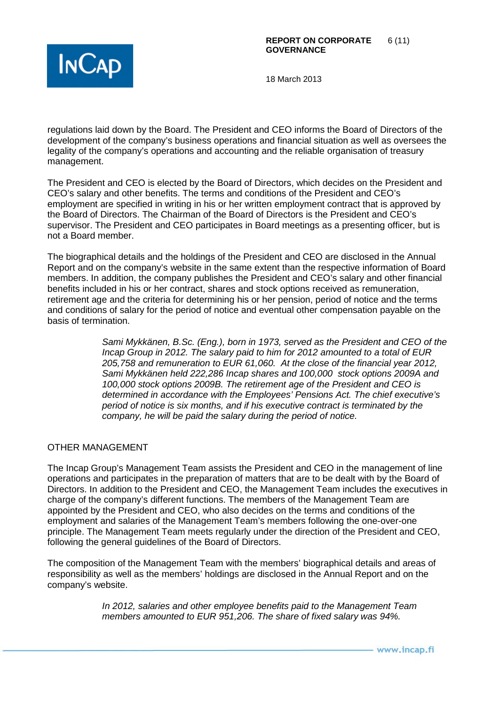

regulations laid down by the Board. The President and CEO informs the Board of Directors of the development of the company's business operations and financial situation as well as oversees the legality of the company's operations and accounting and the reliable organisation of treasury management.

The President and CEO is elected by the Board of Directors, which decides on the President and CEO's salary and other benefits. The terms and conditions of the President and CEO's employment are specified in writing in his or her written employment contract that is approved by the Board of Directors. The Chairman of the Board of Directors is the President and CEO's supervisor. The President and CEO participates in Board meetings as a presenting officer, but is not a Board member.

The biographical details and the holdings of the President and CEO are disclosed in the Annual Report and on the company's website in the same extent than the respective information of Board members. In addition, the company publishes the President and CEO's salary and other financial benefits included in his or her contract, shares and stock options received as remuneration, retirement age and the criteria for determining his or her pension, period of notice and the terms and conditions of salary for the period of notice and eventual other compensation payable on the basis of termination.

> *Sami Mykkänen, B.Sc. (Eng.), born in 1973, served as the President and CEO of the Incap Group in 2012. The salary paid to him for 2012 amounted to a total of EUR 205,758 and remuneration to EUR 61,060. At the close of the financial year 2012, Sami Mykkänen held 222,286 Incap shares and 100,000 stock options 2009A and 100,000 stock options 2009B. The retirement age of the President and CEO is determined in accordance with the Employees' Pensions Act. The chief executive's period of notice is six months, and if his executive contract is terminated by the company, he will be paid the salary during the period of notice.*

## OTHER MANAGEMENT

The Incap Group's Management Team assists the President and CEO in the management of line operations and participates in the preparation of matters that are to be dealt with by the Board of Directors. In addition to the President and CEO, the Management Team includes the executives in charge of the company's different functions. The members of the Management Team are appointed by the President and CEO, who also decides on the terms and conditions of the employment and salaries of the Management Team's members following the one-over-one principle. The Management Team meets regularly under the direction of the President and CEO, following the general guidelines of the Board of Directors.

The composition of the Management Team with the members' biographical details and areas of responsibility as well as the members' holdings are disclosed in the Annual Report and on the company's website.

> *In 2012, salaries and other employee benefits paid to the Management Team members amounted to EUR 951,206. The share of fixed salary was 94%.*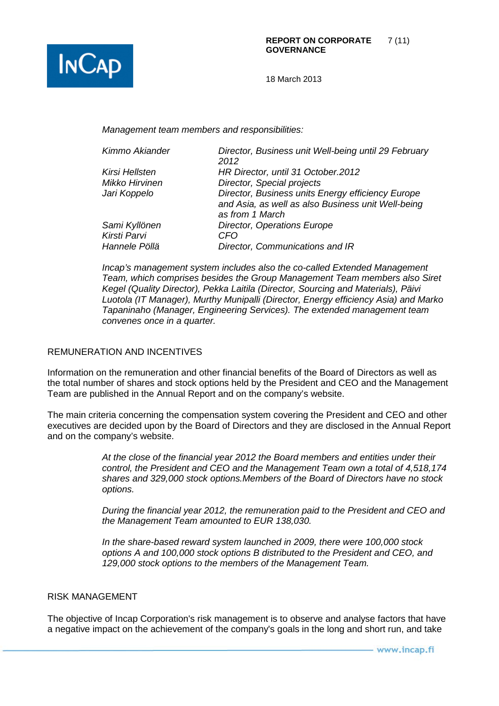

*Management team members and responsibilities:*

| Director, Business unit Well-being until 29 February |
|------------------------------------------------------|
| 2012                                                 |
| HR Director, until 31 October.2012                   |
| Director, Special projects                           |
| Director, Business units Energy efficiency Europe    |
| and Asia, as well as also Business unit Well-being   |
| as from 1 March                                      |
| <b>Director, Operations Europe</b>                   |
| CFO                                                  |
| Director, Communications and IR                      |
|                                                      |

*Incap's management system includes also the co-called Extended Management Team, which comprises besides the Group Management Team members also Siret Kegel (Quality Director), Pekka Laitila (Director, Sourcing and Materials), Päivi Luotola (IT Manager), Murthy Munipalli (Director, Energy efficiency Asia) and Marko Tapaninaho (Manager, Engineering Services). The extended management team convenes once in a quarter.* 

#### REMUNERATION AND INCENTIVES

Information on the remuneration and other financial benefits of the Board of Directors as well as the total number of shares and stock options held by the President and CEO and the Management Team are published in the Annual Report and on the company's website.

The main criteria concerning the compensation system covering the President and CEO and other executives are decided upon by the Board of Directors and they are disclosed in the Annual Report and on the company's website.

> *At the close of the financial year 2012 the Board members and entities under their control, the President and CEO and the Management Team own a total of 4,518,174 shares and 329,000 stock options.Members of the Board of Directors have no stock options.*

> *During the financial year 2012, the remuneration paid to the President and CEO and the Management Team amounted to EUR 138,030.*

*In the share-based reward system launched in 2009, there were 100,000 stock options A and 100,000 stock options B distributed to the President and CEO, and 129,000 stock options to the members of the Management Team.* 

#### RISK MANAGEMENT

The objective of Incap Corporation's risk management is to observe and analyse factors that have a negative impact on the achievement of the company's goals in the long and short run, and take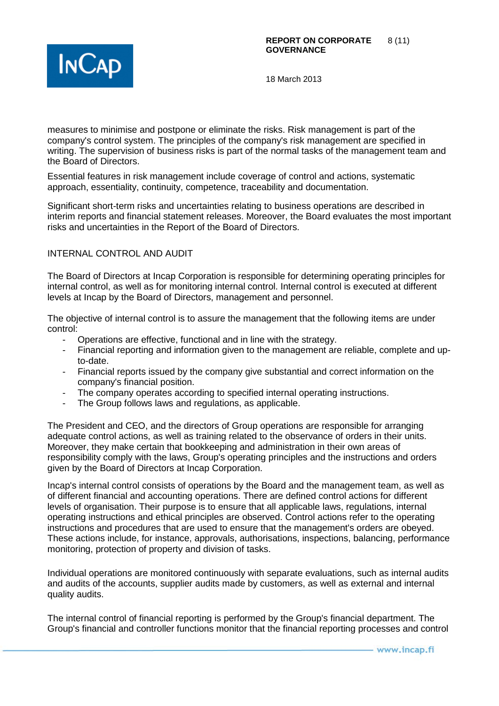

measures to minimise and postpone or eliminate the risks. Risk management is part of the company's control system. The principles of the company's risk management are specified in writing. The supervision of business risks is part of the normal tasks of the management team and the Board of Directors.

Essential features in risk management include coverage of control and actions, systematic approach, essentiality, continuity, competence, traceability and documentation.

Significant short-term risks and uncertainties relating to business operations are described in interim reports and financial statement releases. Moreover, the Board evaluates the most important risks and uncertainties in the Report of the Board of Directors.

## INTERNAL CONTROL AND AUDIT

The Board of Directors at Incap Corporation is responsible for determining operating principles for internal control, as well as for monitoring internal control. Internal control is executed at different levels at Incap by the Board of Directors, management and personnel.

The objective of internal control is to assure the management that the following items are under control:

- Operations are effective, functional and in line with the strategy.
- Financial reporting and information given to the management are reliable, complete and upto-date.
- Financial reports issued by the company give substantial and correct information on the company's financial position.
- The company operates according to specified internal operating instructions.
- The Group follows laws and regulations, as applicable.

The President and CEO, and the directors of Group operations are responsible for arranging adequate control actions, as well as training related to the observance of orders in their units. Moreover, they make certain that bookkeeping and administration in their own areas of responsibility comply with the laws, Group's operating principles and the instructions and orders given by the Board of Directors at Incap Corporation.

Incap's internal control consists of operations by the Board and the management team, as well as of different financial and accounting operations. There are defined control actions for different levels of organisation. Their purpose is to ensure that all applicable laws, regulations, internal operating instructions and ethical principles are observed. Control actions refer to the operating instructions and procedures that are used to ensure that the management's orders are obeyed. These actions include, for instance, approvals, authorisations, inspections, balancing, performance monitoring, protection of property and division of tasks.

Individual operations are monitored continuously with separate evaluations, such as internal audits and audits of the accounts, supplier audits made by customers, as well as external and internal quality audits.

The internal control of financial reporting is performed by the Group's financial department. The Group's financial and controller functions monitor that the financial reporting processes and control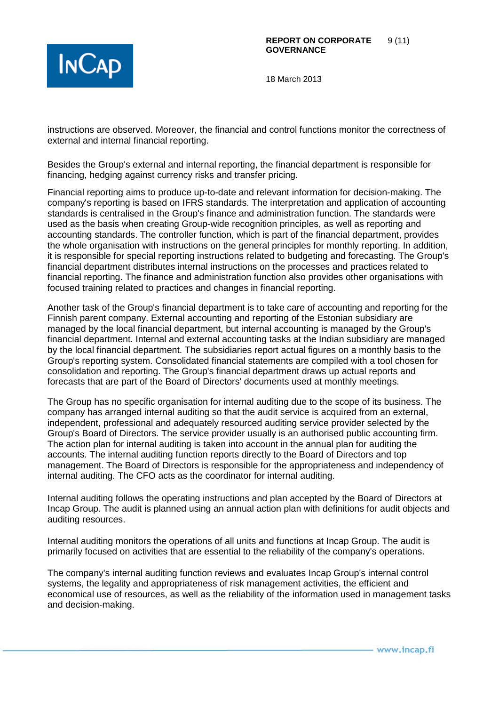

instructions are observed. Moreover, the financial and control functions monitor the correctness of external and internal financial reporting.

Besides the Group's external and internal reporting, the financial department is responsible for financing, hedging against currency risks and transfer pricing.

Financial reporting aims to produce up-to-date and relevant information for decision-making. The company's reporting is based on IFRS standards. The interpretation and application of accounting standards is centralised in the Group's finance and administration function. The standards were used as the basis when creating Group-wide recognition principles, as well as reporting and accounting standards. The controller function, which is part of the financial department, provides the whole organisation with instructions on the general principles for monthly reporting. In addition, it is responsible for special reporting instructions related to budgeting and forecasting. The Group's financial department distributes internal instructions on the processes and practices related to financial reporting. The finance and administration function also provides other organisations with focused training related to practices and changes in financial reporting.

Another task of the Group's financial department is to take care of accounting and reporting for the Finnish parent company. External accounting and reporting of the Estonian subsidiary are managed by the local financial department, but internal accounting is managed by the Group's financial department. Internal and external accounting tasks at the Indian subsidiary are managed by the local financial department. The subsidiaries report actual figures on a monthly basis to the Group's reporting system. Consolidated financial statements are compiled with a tool chosen for consolidation and reporting. The Group's financial department draws up actual reports and forecasts that are part of the Board of Directors' documents used at monthly meetings.

The Group has no specific organisation for internal auditing due to the scope of its business. The company has arranged internal auditing so that the audit service is acquired from an external, independent, professional and adequately resourced auditing service provider selected by the Group's Board of Directors. The service provider usually is an authorised public accounting firm. The action plan for internal auditing is taken into account in the annual plan for auditing the accounts. The internal auditing function reports directly to the Board of Directors and top management. The Board of Directors is responsible for the appropriateness and independency of internal auditing. The CFO acts as the coordinator for internal auditing.

Internal auditing follows the operating instructions and plan accepted by the Board of Directors at Incap Group. The audit is planned using an annual action plan with definitions for audit objects and auditing resources.

Internal auditing monitors the operations of all units and functions at Incap Group. The audit is primarily focused on activities that are essential to the reliability of the company's operations.

The company's internal auditing function reviews and evaluates Incap Group's internal control systems, the legality and appropriateness of risk management activities, the efficient and economical use of resources, as well as the reliability of the information used in management tasks and decision-making.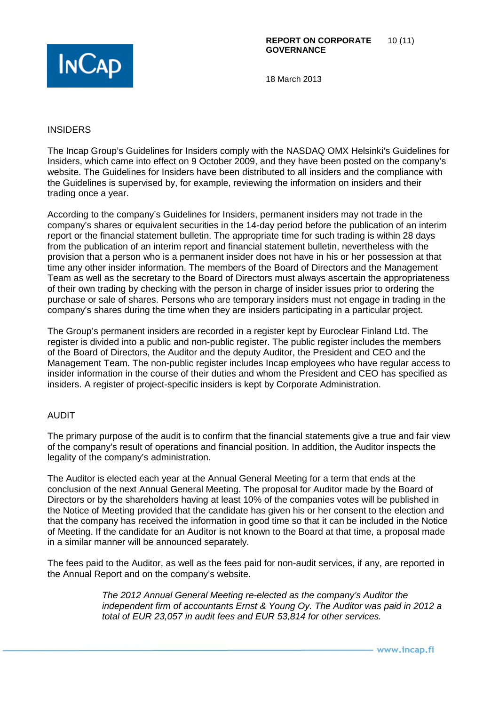

#### INSIDERS

The Incap Group's Guidelines for Insiders comply with the NASDAQ OMX Helsinki's Guidelines for Insiders, which came into effect on 9 October 2009, and they have been posted on the company's website. The Guidelines for Insiders have been distributed to all insiders and the compliance with the Guidelines is supervised by, for example, reviewing the information on insiders and their trading once a year.

According to the company's Guidelines for Insiders, permanent insiders may not trade in the company's shares or equivalent securities in the 14-day period before the publication of an interim report or the financial statement bulletin. The appropriate time for such trading is within 28 days from the publication of an interim report and financial statement bulletin, nevertheless with the provision that a person who is a permanent insider does not have in his or her possession at that time any other insider information. The members of the Board of Directors and the Management Team as well as the secretary to the Board of Directors must always ascertain the appropriateness of their own trading by checking with the person in charge of insider issues prior to ordering the purchase or sale of shares. Persons who are temporary insiders must not engage in trading in the company's shares during the time when they are insiders participating in a particular project.

The Group's permanent insiders are recorded in a register kept by Euroclear Finland Ltd. The register is divided into a public and non-public register. The public register includes the members of the Board of Directors, the Auditor and the deputy Auditor, the President and CEO and the Management Team. The non-public register includes Incap employees who have regular access to insider information in the course of their duties and whom the President and CEO has specified as insiders. A register of project-specific insiders is kept by Corporate Administration.

## AUDIT

The primary purpose of the audit is to confirm that the financial statements give a true and fair view of the company's result of operations and financial position. In addition, the Auditor inspects the legality of the company's administration.

The Auditor is elected each year at the Annual General Meeting for a term that ends at the conclusion of the next Annual General Meeting. The proposal for Auditor made by the Board of Directors or by the shareholders having at least 10% of the companies votes will be published in the Notice of Meeting provided that the candidate has given his or her consent to the election and that the company has received the information in good time so that it can be included in the Notice of Meeting. If the candidate for an Auditor is not known to the Board at that time, a proposal made in a similar manner will be announced separately.

The fees paid to the Auditor, as well as the fees paid for non-audit services, if any, are reported in the Annual Report and on the company's website.

> *The 2012 Annual General Meeting re-elected as the company's Auditor the independent firm of accountants Ernst & Young Oy. The Auditor was paid in 2012 a total of EUR 23,057 in audit fees and EUR 53,814 for other services.*